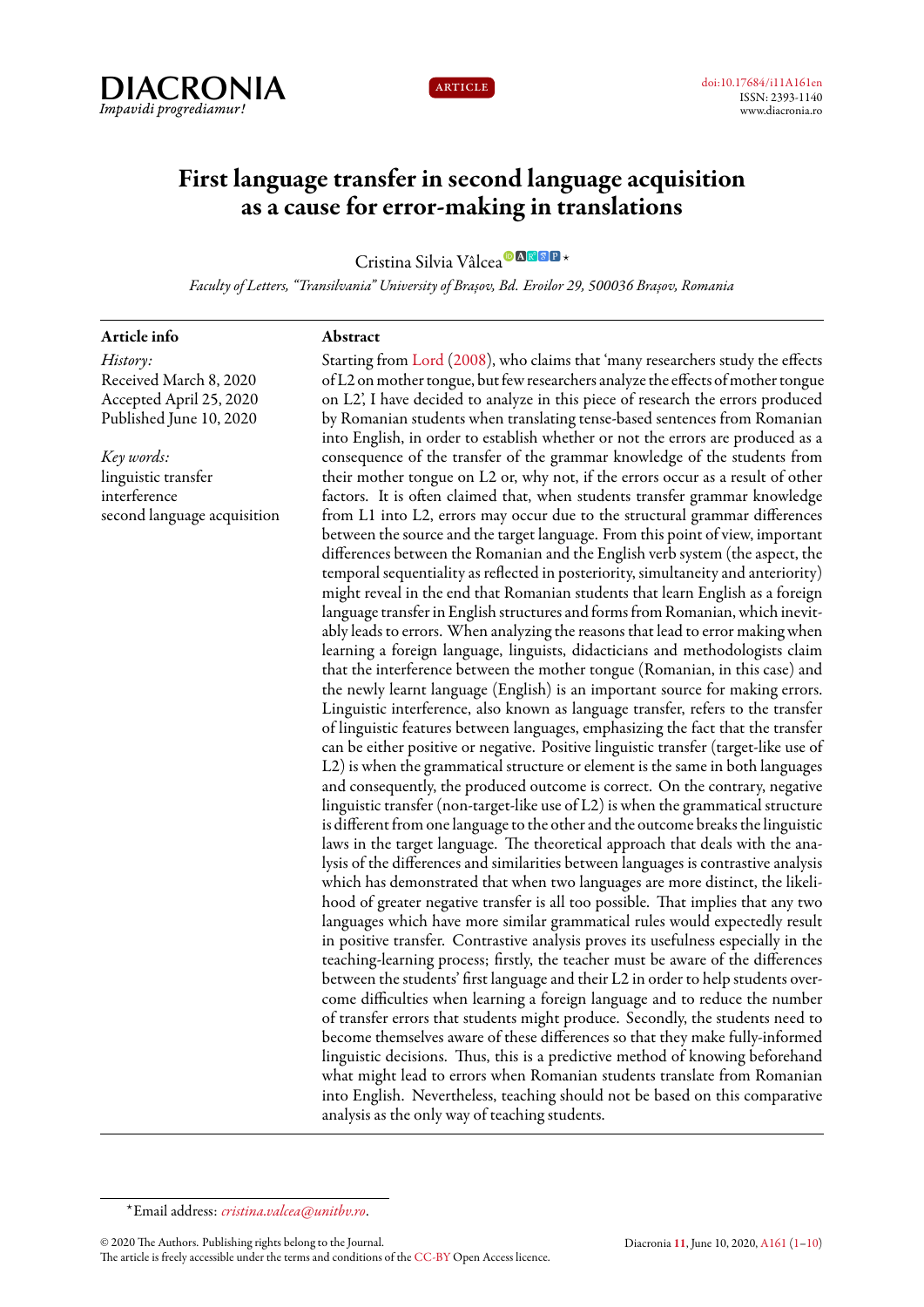



# **First language transfer in second language acquisition as a cause for error-making in translations**

Cristina Silvia Vâlcea*<sup>⋆</sup>*

*Faculty of Letters, "Transilvania" University of Brașov, Bd. Eroilor 29, 500036 Brașov, Romania*

**Abstract**

#### **Article info**

*History:* Received March 8, 2020 Accepted April 25, 2020 Published June 10, 2020

*Key words:* linguistic transfer interference second language acquisition

Starting from [Lord](#page-8-1) [\(2008](#page-8-1)), who claims that 'many researchers study the effects of L2 on mother tongue, but few researchers analyze the effects of mother tongue on L2', I have decided to analyze in this piece of research the errors produced by Romanian students when translating tense-based sentences from Romanian into English, in order to establish whether or not the errors are produced as a consequence of the transfer of the grammar knowledge of the students from their mother tongue on L2 or, why not, if the errors occur as a result of other factors. It is often claimed that, when students transfer grammar knowledge from L1 into L2, errors may occur due to the structural grammar differences between the source and the target language. From this point of view, important differences between the Romanian and the English verb system (the aspect, the temporal sequentiality as reflected in posteriority, simultaneity and anteriority) might reveal in the end that Romanian students that learn English as a foreign language transfer in English structures and forms from Romanian, which inevitably leads to errors. When analyzing the reasons that lead to error making when learning a foreign language, linguists, didacticians and methodologists claim that the interference between the mother tongue (Romanian, in this case) and the newly learnt language (English) is an important source for making errors. Linguistic interference, also known as language transfer, refers to the transfer of linguistic features between languages, emphasizing the fact that the transfer can be either positive or negative. Positive linguistic transfer (target-like use of L2) is when the grammatical structure or element is the same in both languages and consequently, the produced outcome is correct. On the contrary, negative linguistic transfer (non-target-like use of L2) is when the grammatical structure is different from one language to the other and the outcome breaks the linguistic laws in the target language. The theoretical approach that deals with the analysis of the differences and similarities between languages is contrastive analysis which has demonstrated that when two languages are more distinct, the likelihood of greater negative transfer is all too possible. That implies that any two languages which have more similar grammatical rules would expectedly result in positive transfer. Contrastive analysis proves its usefulness especially in the teaching-learning process; firstly, the teacher must be aware of the differences between the students' first language and their L2 in order to help students overcome difficulties when learning a foreign language and to reduce the number of transfer errors that students might produce. Secondly, the students need to become themselves aware of these differences so that they make fully-informed linguistic decisions. Thus, this is a predictive method of knowing beforehand what might lead to errors when Romanian students translate from Romanian into English. Nevertheless, teaching should not be based on this comparative analysis as the only way of teaching students.

© 2020 The Authors. Publishing rights belong to the Journal.

<span id="page-0-0"></span>*<sup>⋆</sup>*Email address: *[cristina.valcea@unitbv.ro](mailto:cristina.valcea@unitbv.ro)*.

The article is freely accessible under the terms and conditions of the [CC-BY](https://creativecommons.org/licenses/by/4.0/) Open Access licence.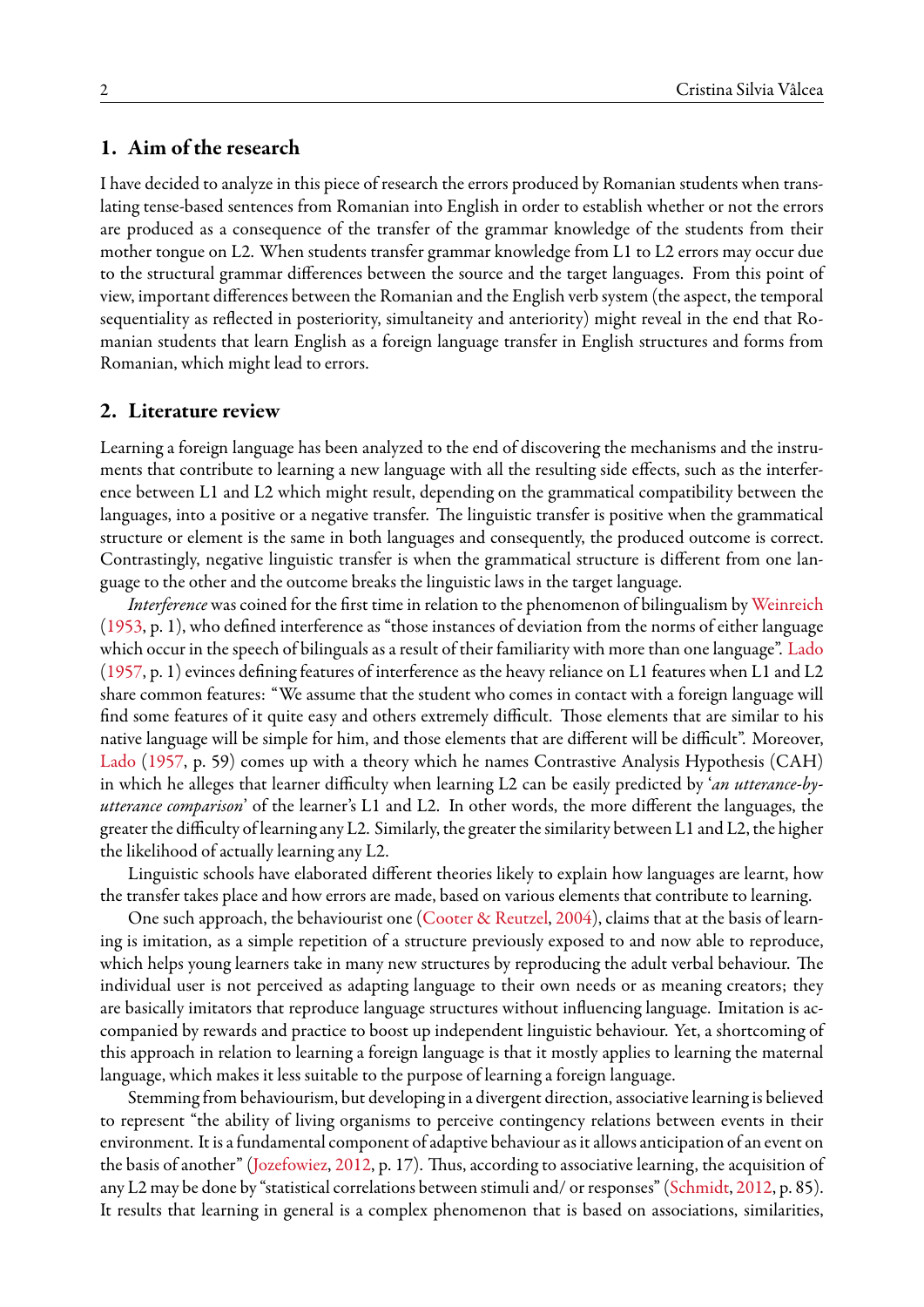## **1. Aim of the research**

I have decided to analyze in this piece of research the errors produced by Romanian students when translating tense-based sentences from Romanian into English in order to establish whether or not the errors are produced as a consequence of the transfer of the grammar knowledge of the students from their mother tongue on L2. When students transfer grammar knowledge from L1 to L2 errors may occur due to the structural grammar differences between the source and the target languages. From this point of view, important differences between the Romanian and the English verb system (the aspect, the temporal sequentiality as reflected in posteriority, simultaneity and anteriority) might reveal in the end that Romanian students that learn English as a foreign language transfer in English structures and forms from Romanian, which might lead to errors.

## **2. Literature review**

Learning a foreign language has been analyzed to the end of discovering the mechanisms and the instruments that contribute to learning a new language with all the resulting side effects, such as the interference between L1 and L2 which might result, depending on the grammatical compatibility between the languages, into a positive or a negative transfer. The linguistic transfer is positive when the grammatical structure or element is the same in both languages and consequently, the produced outcome is correct. Contrastingly, negative linguistic transfer is when the grammatical structure is different from one language to the other and the outcome breaks the linguistic laws in the target language.

*Interference* was coined for the first time in relation to the phenomenon of bilingualism by [Weinreich](#page-9-0) ([1953,](#page-9-0) p. 1), who defined interference as "those instances of deviation from the norms of either language which occur in the speech of bilinguals as a result of their familiarity with more than one language". [Lado](#page-8-2) ([1957,](#page-8-2) p. 1) evinces defining features of interference as the heavy reliance on L1 features when L1 and L2 share common features: "We assume that the student who comes in contact with a foreign language will find some features of it quite easy and others extremely difficult. Those elements that are similar to his native language will be simple for him, and those elements that are different will be difficult". Moreover, [Lado](#page-8-2) [\(1957](#page-8-2), p. 59) comes up with a theory which he names Contrastive Analysis Hypothesis (CAH) in which he alleges that learner difficulty when learning L2 can be easily predicted by '*an utterance-byutterance comparison*' of the learner's L1 and L2. In other words, the more different the languages, the greater the difficulty of learning any L2. Similarly, the greater the similarity between L1 and L2, the higher the likelihood of actually learning any L2.

Linguistic schools have elaborated different theories likely to explain how languages are learnt, how the transfer takes place and how errors are made, based on various elements that contribute to learning.

One such approach, the behaviourist one [\(Cooter & Reutzel](#page-8-3), [2004](#page-8-3)), claims that at the basis of learning is imitation, as a simple repetition of a structure previously exposed to and now able to reproduce, which helps young learners take in many new structures by reproducing the adult verbal behaviour. The individual user is not perceived as adapting language to their own needs or as meaning creators; they are basically imitators that reproduce language structures without influencing language. Imitation is accompanied by rewards and practice to boost up independent linguistic behaviour. Yet, a shortcoming of this approach in relation to learning a foreign language is that it mostly applies to learning the maternal language, which makes it less suitable to the purpose of learning a foreign language.

Stemming from behaviourism, but developing in a divergent direction, associative learning is believed to represent "the ability of living organisms to perceive contingency relations between events in their environment. It is a fundamental component of adaptive behaviour as it allows anticipation of an event on the basis of another"([Jozefowiez](#page-8-4), [2012](#page-8-4), p. 17). Thus, according to associative learning, the acquisition of any L2 may be done by "statistical correlations between stimuli and/ or responses"([Schmidt](#page-8-5), [2012,](#page-8-5) p. 85). It results that learning in general is a complex phenomenon that is based on associations, similarities,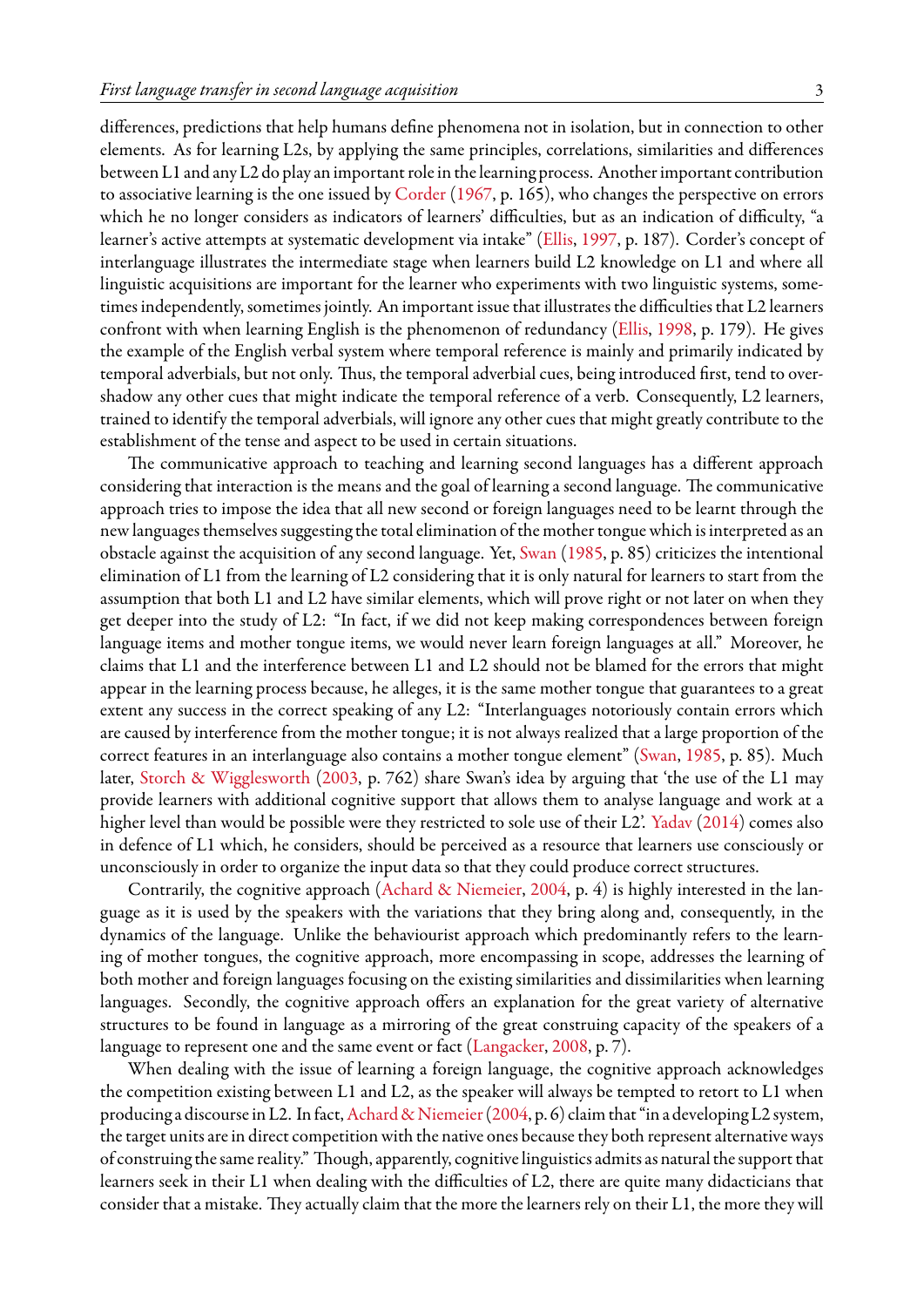differences, predictions that help humans define phenomena not in isolation, but in connection to other elements. As for learning L2s, by applying the same principles, correlations, similarities and differences between L1 and any L2 do play an important role in the learning process. Another important contribution to associative learning is the one issued by [Corder](#page-8-6) [\(1967](#page-8-6), p. 165), who changes the perspective on errors which he no longer considers as indicators of learners' difficulties, but as an indication of difficulty, "a learner's active attempts at systematic development via intake"([Ellis](#page-8-7), [1997,](#page-8-7) p. 187). Corder's concept of interlanguage illustrates the intermediate stage when learners build L2 knowledge on L1 and where all linguistic acquisitions are important for the learner who experiments with two linguistic systems, sometimes independently, sometimes jointly. An important issue that illustrates the difficulties that L2 learners confront with when learning English is the phenomenon of redundancy [\(Ellis,](#page-8-8) [1998](#page-8-8), p. 179). He gives the example of the English verbal system where temporal reference is mainly and primarily indicated by temporal adverbials, but not only. Thus, the temporal adverbial cues, being introduced first, tend to overshadow any other cues that might indicate the temporal reference of a verb. Consequently, L2 learners, trained to identify the temporal adverbials, will ignore any other cues that might greatly contribute to the establishment of the tense and aspect to be used in certain situations.

The communicative approach to teaching and learning second languages has a different approach considering that interaction is the means and the goal of learning a second language. The communicative approach tries to impose the idea that all new second or foreign languages need to be learnt through the new languages themselves suggesting the total elimination of the mother tongue which is interpreted as an obstacle against the acquisition of any second language. Yet, [Swan](#page-9-1) [\(1985,](#page-9-1) p. 85) criticizes the intentional elimination of L1 from the learning of L2 considering that it is only natural for learners to start from the assumption that both L1 and L2 have similar elements, which will prove right or not later on when they get deeper into the study of L2: "In fact, if we did not keep making correspondences between foreign language items and mother tongue items, we would never learn foreign languages at all." Moreover, he claims that L1 and the interference between L1 and L2 should not be blamed for the errors that might appear in the learning process because, he alleges, it is the same mother tongue that guarantees to a great extent any success in the correct speaking of any L2: "Interlanguages notoriously contain errors which are caused by interference from the mother tongue; it is not always realized that a large proportion of the correct features in an interlanguage also contains a mother tongue element" [\(Swan](#page-9-1), [1985,](#page-9-1) p. 85). Much later, [Storch & Wigglesworth](#page-8-9) ([2003,](#page-8-9) p. 762) share Swan's idea by arguing that 'the use of the L1 may provide learners with additional cognitive support that allows them to analyse language and work at a higher level than would be possible were they restricted to sole use of their L2'. [Yadav](#page-9-2) ([2014](#page-9-2)) comes also in defence of L1 which, he considers, should be perceived as a resource that learners use consciously or unconsciously in order to organize the input data so that they could produce correct structures.

Contrarily, the cognitive approach([Achard & Niemeier](#page-8-10), [2004](#page-8-10), p. 4) is highly interested in the language as it is used by the speakers with the variations that they bring along and, consequently, in the dynamics of the language. Unlike the behaviourist approach which predominantly refers to the learning of mother tongues, the cognitive approach, more encompassing in scope, addresses the learning of both mother and foreign languages focusing on the existing similarities and dissimilarities when learning languages. Secondly, the cognitive approach offers an explanation for the great variety of alternative structures to be found in language as a mirroring of the great construing capacity of the speakers of a language to represent one and the same event or fact([Langacker,](#page-8-11) [2008,](#page-8-11) p. 7).

When dealing with the issue of learning a foreign language, the cognitive approach acknowledges the competition existing between L1 and L2, as the speaker will always be tempted to retort to L1 when producing a discourse in L2. In fact, Achard & Niemeier (2004, p. 6) claim that "in a developing L2 system, the target units are in direct competition with the native ones because they both represent alternative ways of construing the same reality." Though, apparently, cognitive linguistics admits as natural the support that learners seek in their L1 when dealing with the difficulties of L2, there are quite many didacticians that consider that a mistake. They actually claim that the more the learners rely on their L1, the more they will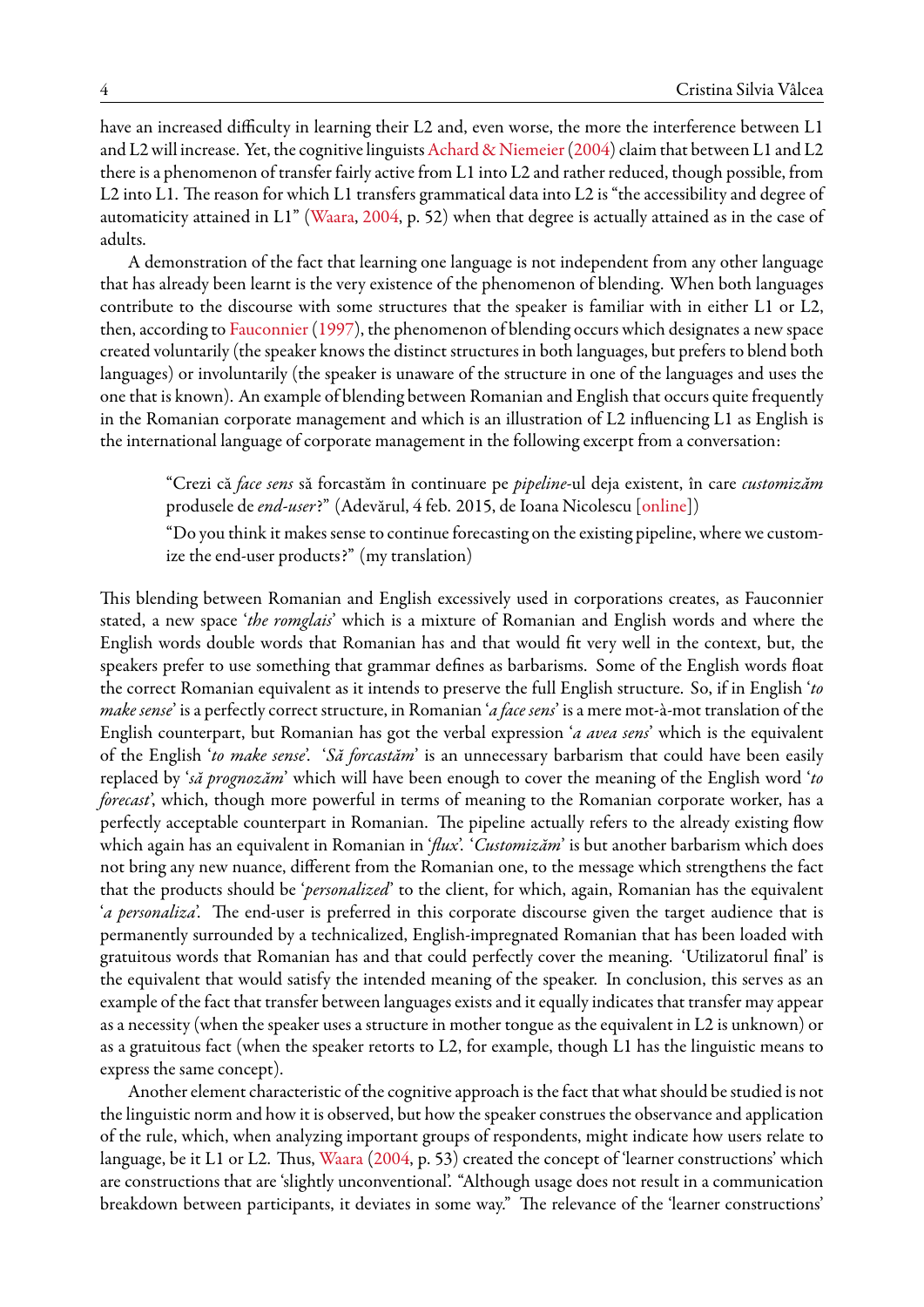have an increased difficulty in learning their L2 and, even worse, the more the interference between L1 and L2 will increase. Yet, the cognitive linguists [Achard & Niemeier](#page-8-10) ([2004](#page-8-10)) claim that between L1 and L2 there is a phenomenon of transfer fairly active from L1 into L2 and rather reduced, though possible, from L2 into L1. The reason for which L1 transfers grammatical data into L2 is "the accessibility and degree of automaticity attained in L1" [\(Waara](#page-9-3), [2004,](#page-9-3) p. 52) when that degree is actually attained as in the case of adults.

A demonstration of the fact that learning one language is not independent from any other language that has already been learnt is the very existence of the phenomenon of blending. When both languages contribute to the discourse with some structures that the speaker is familiar with in either L1 or L2, then, according to [Fauconnier](#page-8-12) ([1997](#page-8-12)), the phenomenon of blending occurs which designates a new space created voluntarily (the speaker knows the distinct structures in both languages, but prefers to blend both languages) or involuntarily (the speaker is unaware of the structure in one of the languages and uses the one that is known). An example of blending between Romanian and English that occurs quite frequently in the Romanian corporate management and which is an illustration of L2 influencing L1 as English is the international language of corporate management in the following excerpt from a conversation:

"Crezi că *face sens* să forcastăm în continuare pe *pipeline*-ul deja existent, în care *customizăm* produsele de *end-user*?" (Adevărul, 4 feb. 2015, de Ioana Nicolescu[[online\]](https://adevarul.ro/educatie/scoala/conversatii-romgleza-vorbeste-multinationale-afecteaza-limba-romana-1_54d22472448e03c0fd45e794/index.html))

"Do you think it makes sense to continue forecasting on the existing pipeline, where we customize the end-user products?" (my translation)

This blending between Romanian and English excessively used in corporations creates, as Fauconnier stated, a new space '*the romglais*' which is a mixture of Romanian and English words and where the English words double words that Romanian has and that would fit very well in the context, but, the speakers prefer to use something that grammar defines as barbarisms. Some of the English words float the correct Romanian equivalent as it intends to preserve the full English structure. So, if in English '*to make sense*' is a perfectly correct structure, in Romanian '*a face sens*' is a mere mot-à-mot translation of the English counterpart, but Romanian has got the verbal expression '*a avea sens*' which is the equivalent of the English '*to make sense*'. '*Să forcastăm*' is an unnecessary barbarism that could have been easily replaced by '*să prognozăm*' which will have been enough to cover the meaning of the English word '*to forecast*', which, though more powerful in terms of meaning to the Romanian corporate worker, has a perfectly acceptable counterpart in Romanian. The pipeline actually refers to the already existing flow which again has an equivalent in Romanian in '*flux*'. '*Customizăm*' is but another barbarism which does not bring any new nuance, different from the Romanian one, to the message which strengthens the fact that the products should be '*personalized*' to the client, for which, again, Romanian has the equivalent '*a personaliza*'. The end-user is preferred in this corporate discourse given the target audience that is permanently surrounded by a technicalized, English-impregnated Romanian that has been loaded with gratuitous words that Romanian has and that could perfectly cover the meaning. 'Utilizatorul final' is the equivalent that would satisfy the intended meaning of the speaker. In conclusion, this serves as an example of the fact that transfer between languages exists and it equally indicates that transfer may appear as a necessity (when the speaker uses a structure in mother tongue as the equivalent in L2 is unknown) or as a gratuitous fact (when the speaker retorts to L2, for example, though L1 has the linguistic means to express the same concept).

Another element characteristic of the cognitive approach is the fact that what should be studied is not the linguistic norm and how it is observed, but how the speaker construes the observance and application of the rule, which, when analyzing important groups of respondents, might indicate how users relate to language, be it L1 or L2. Thus, [Waara](#page-9-3) ([2004](#page-9-3), p. 53) created the concept of 'learner constructions' which are constructions that are 'slightly unconventional'. "Although usage does not result in a communication breakdown between participants, it deviates in some way." The relevance of the 'learner constructions'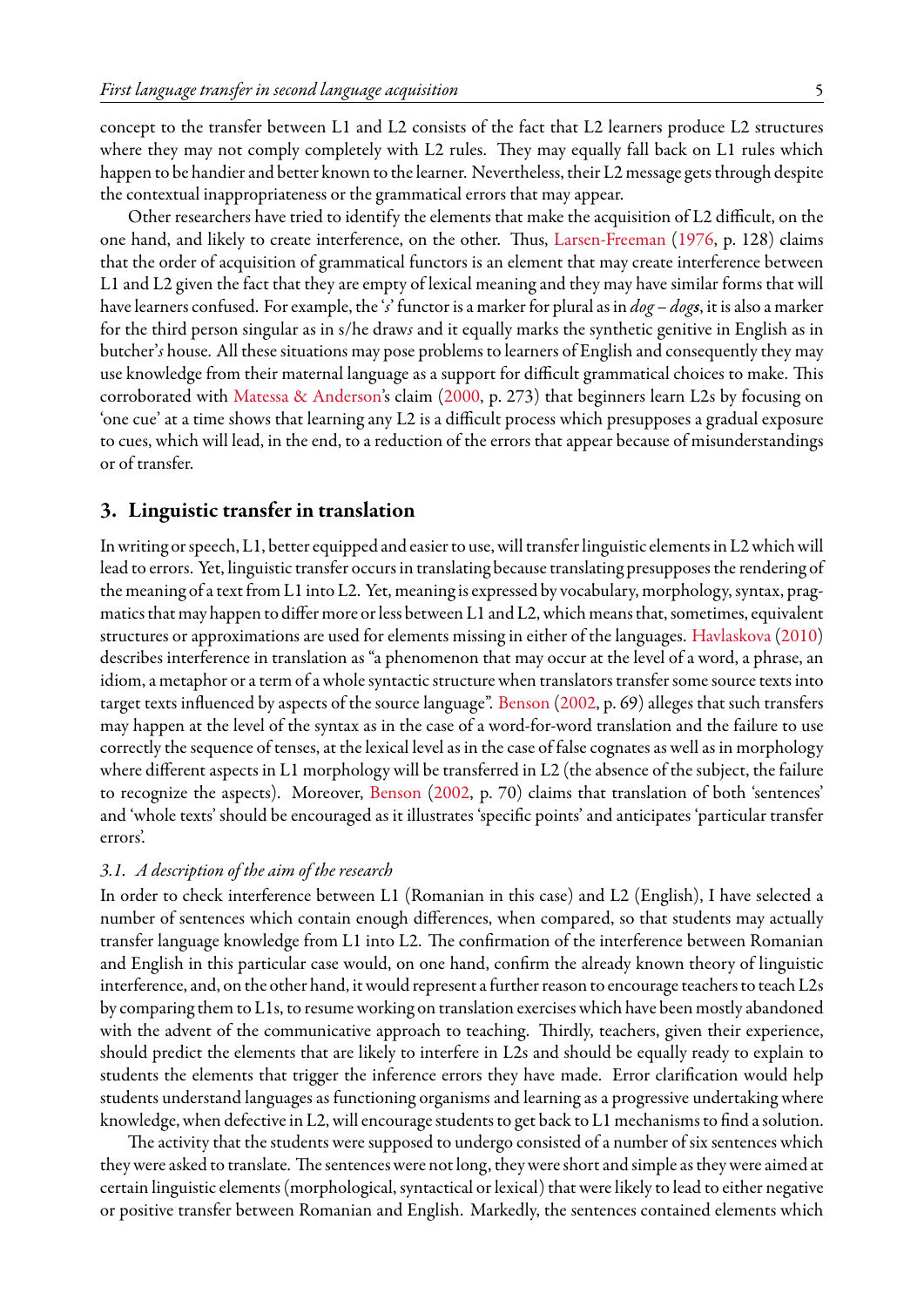concept to the transfer between L1 and L2 consists of the fact that L2 learners produce L2 structures where they may not comply completely with L2 rules. They may equally fall back on L1 rules which happen to be handier and better known to the learner. Nevertheless, their L2 message gets through despite the contextual inappropriateness or the grammatical errors that may appear.

Other researchers have tried to identify the elements that make the acquisition of L2 difficult, on the one hand, and likely to create interference, on the other. Thus, [Larsen-Freeman](#page-8-13) ([1976,](#page-8-13) p. 128) claims that the order of acquisition of grammatical functors is an element that may create interference between L1 and L2 given the fact that they are empty of lexical meaning and they may have similar forms that will have learners confused. For example, the '*s*' functor is a marker for plural as in *dog – dogs*, it is also a marker for the third person singular as in s/he draw*s* and it equally marks the synthetic genitive in English as in butcher'*s* house. All these situations may pose problems to learners of English and consequently they may use knowledge from their maternal language as a support for difficult grammatical choices to make. This corroborated with [Matessa & Anderson](#page-8-14)'s claim [\(2000](#page-8-14), p. 273) that beginners learn L2s by focusing on 'one cue' at a time shows that learning any L2 is a difficult process which presupposes a gradual exposure to cues, which will lead, in the end, to a reduction of the errors that appear because of misunderstandings or of transfer.

## **3. Linguistic transfer in translation**

In writing or speech, L1, better equipped and easier to use, will transfer linguistic elements in L2 which will lead to errors. Yet, linguistic transfer occurs in translating because translating presupposes the rendering of the meaning of a text from L1 into L2. Yet, meaning is expressed by vocabulary, morphology, syntax, pragmatics that may happen to differ more or less between L1 and L2, which means that, sometimes, equivalent structures or approximations are used for elements missing in either of the languages. [Havlaskova\(2010\)](#page-8-15) describes interference in translation as "a phenomenon that may occur at the level of a word, a phrase, an idiom, a metaphor or a term of a whole syntactic structure when translators transfer some source texts into target texts influenced by aspects of the source language". [Benson](#page-8-16) ([2002](#page-8-16), p. 69) alleges that such transfers may happen at the level of the syntax as in the case of a word-for-word translation and the failure to use correctly the sequence of tenses, at the lexical level as in the case of false cognates as well as in morphology where different aspects in L1 morphology will be transferred in L2 (the absence of the subject, the failure to recognize the aspects). Moreover, [Benson](#page-8-16) ([2002,](#page-8-16) p. 70) claims that translation of both 'sentences' and 'whole texts' should be encouraged as it illustrates 'specific points' and anticipates 'particular transfer errors'.

#### *3.1. A description of the aim of the research*

In order to check interference between L1 (Romanian in this case) and L2 (English), I have selected a number of sentences which contain enough differences, when compared, so that students may actually transfer language knowledge from L1 into L2. The confirmation of the interference between Romanian and English in this particular case would, on one hand, confirm the already known theory of linguistic interference, and, on the other hand, it would represent afurther reason to encourage teachers to teach L2s by comparing them to L1s, to resume working on translation exercises which have been mostly abandoned with the advent of the communicative approach to teaching. Thirdly, teachers, given their experience, should predict the elements that are likely to interfere in L2s and should be equally ready to explain to students the elements that trigger the inference errors they have made. Error clarification would help students understand languages as functioning organisms and learning as a progressive undertaking where knowledge, when defective in L2, will encourage students to get back to L1 mechanisms to find a solution.

The activity that the students were supposed to undergo consisted of a number of six sentences which they were asked to translate. The sentences were not long, they were short and simple as they were aimed at certain linguistic elements (morphological, syntactical or lexical) that were likely to lead to either negative or positive transfer between Romanian and English. Markedly, the sentences contained elements which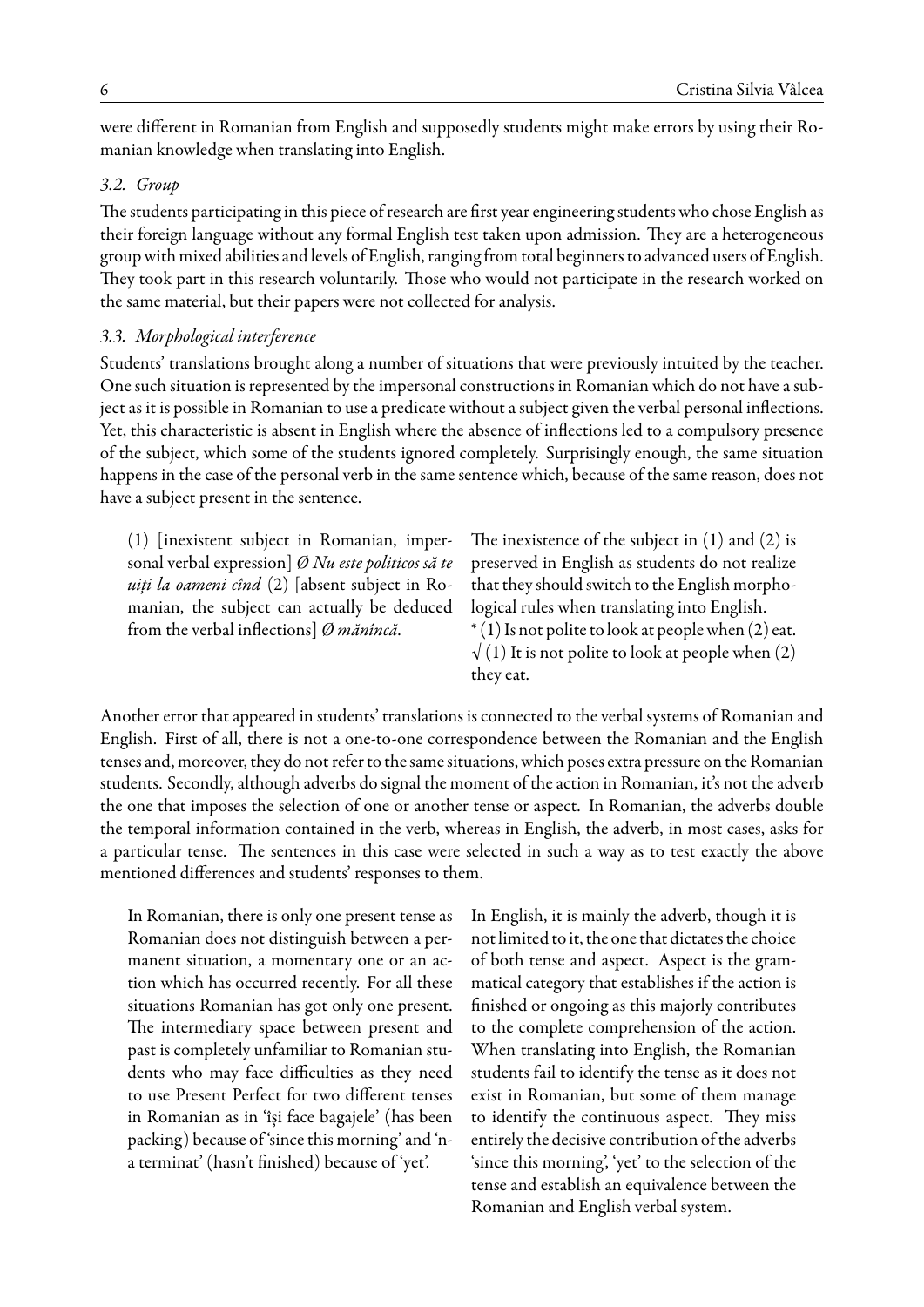were different in Romanian from English and supposedly students might make errors by using their Romanian knowledge when translating into English.

#### *3.2. Group*

The students participating in this piece of research are first year engineering students who chose English as their foreign language without any formal English test taken upon admission. They are a heterogeneous group with mixed abilities and levels of English, ranging from total beginners to advanced users of English. They took part in this research voluntarily. Those who would not participate in the research worked on the same material, but their papers were not collected for analysis.

#### *3.3. Morphological interference*

Students' translations brought along a number of situations that were previously intuited by the teacher. One such situation is represented by the impersonal constructions in Romanian which do not have a subject as it is possible in Romanian to use a predicate without a subject given the verbal personal inflections. Yet, this characteristic is absent in English where the absence of inflections led to a compulsory presence of the subject, which some of the students ignored completely. Surprisingly enough, the same situation happens in the case of the personal verb in the same sentence which, because of the same reason, does not have a subject present in the sentence.

(1) [inexistent subject in Romanian, impersonal verbal expression] *Ø Nu este politicos să te uiți la oameni cînd* (2) [absent subject in Romanian, the subject can actually be deduced from the verbal inflections] *Ø mănîncă*.

The inexistence of the subject in  $(1)$  and  $(2)$  is preserved in English as students do not realize that they should switch to the English morphological rules when translating into English.  $*(1)$  Is not polite to look at people when (2) eat.  $\sqrt{(1)}$  It is not polite to look at people when (2) they eat.

Another error that appeared in students' translations is connected to the verbal systems of Romanian and English. First of all, there is not a one-to-one correspondence between the Romanian and the English tenses and, moreover, they do not refer to the same situations, which poses extra pressure on the Romanian students. Secondly, although adverbs do signal the moment of the action in Romanian, it's not the adverb the one that imposes the selection of one or another tense or aspect. In Romanian, the adverbs double the temporal information contained in the verb, whereas in English, the adverb, in most cases, asks for a particular tense. The sentences in this case were selected in such a way as to test exactly the above mentioned differences and students' responses to them.

In Romanian, there is only one present tense as Romanian does not distinguish between a permanent situation, a momentary one or an action which has occurred recently. For all these situations Romanian has got only one present. The intermediary space between present and past is completely unfamiliar to Romanian students who may face difficulties as they need to use Present Perfect for two different tenses in Romanian as in 'își face bagajele' (has been packing) because of 'since this morning' and 'na terminat' (hasn't finished) because of 'yet'.

In English, it is mainly the adverb, though it is not limited to it, the one that dictates the choice of both tense and aspect. Aspect is the grammatical category that establishes if the action is finished or ongoing as this majorly contributes to the complete comprehension of the action. When translating into English, the Romanian students fail to identify the tense as it does not exist in Romanian, but some of them manage to identify the continuous aspect. They miss entirely the decisive contribution of the adverbs 'since this morning', 'yet' to the selection of the tense and establish an equivalence between the Romanian and English verbal system.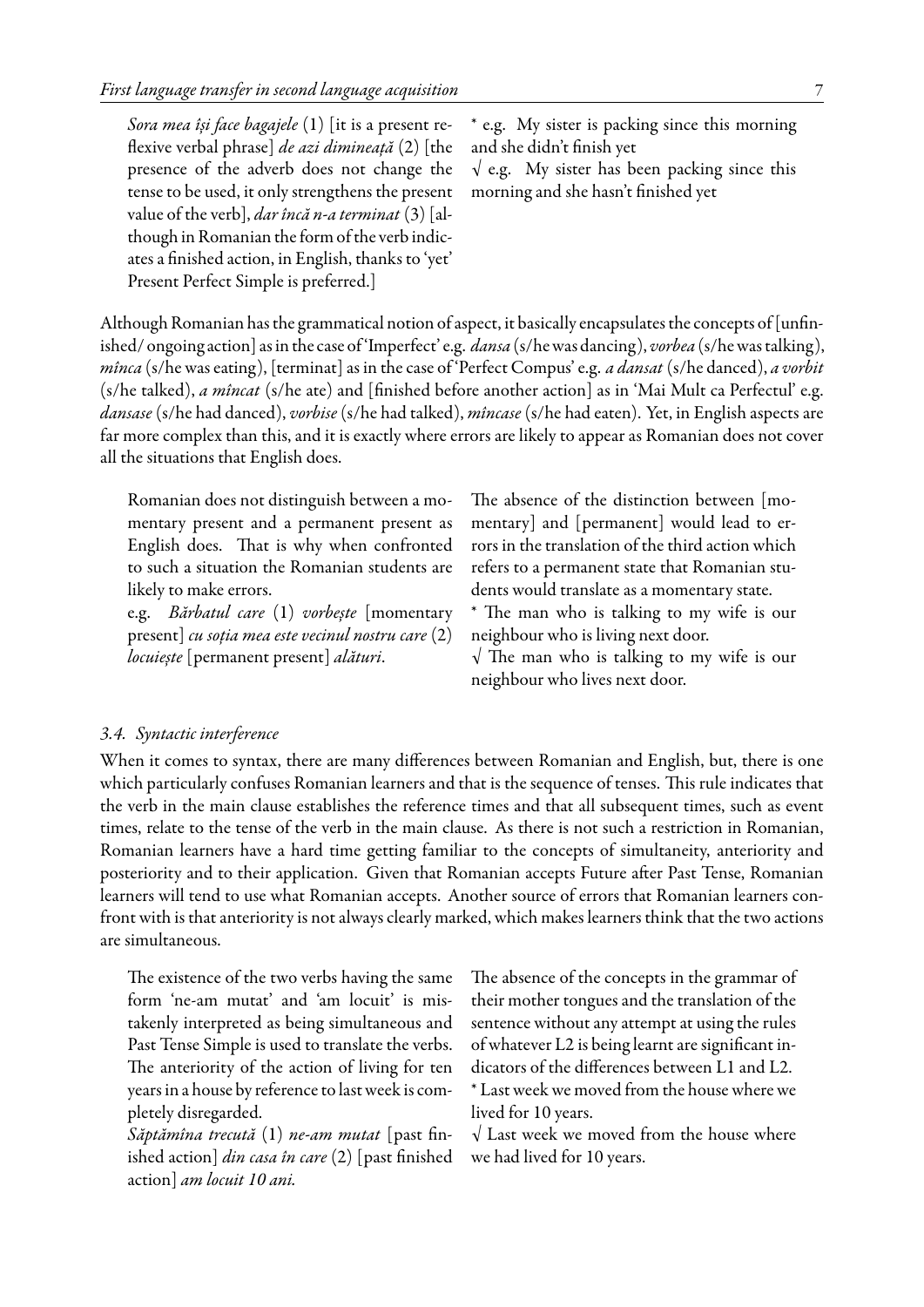| Sora mea își face bagajele $(1)$ [it is a present re-     | * e.g. My sister is packing since this morning      |
|-----------------------------------------------------------|-----------------------------------------------------|
| flexive verbal phrase] <i>de azi dimineață</i> (2) [the   | and she didn't finish yet                           |
| presence of the adverb does not change the                | $\sqrt{e.g.}$ My sister has been packing since this |
| tense to be used, it only strengthens the present         | morning and she hasn't finished yet                 |
| value of the verb], <i>dar încă n-a terminat</i> (3) [al- |                                                     |
| though in Romanian the form of the verb indic-            |                                                     |
| ates a finished action, in English, thanks to 'yet'       |                                                     |
| Present Perfect Simple is preferred.]                     |                                                     |

Although Romanian has the grammatical notion of aspect, it basically encapsulates the concepts of [unfinished/ ongoing action] as in the case of 'Imperfect' e.g. *dansa* (s/he was dancing), *vorbea* (s/he was talking), *mînca* (s/he was eating), [terminat] as in the case of 'Perfect Compus' e.g. *a dansat* (s/he danced), *a vorbit* (s/he talked), *a mîncat* (s/he ate) and [finished before another action] as in 'Mai Mult ca Perfectul' e.g. *dansase* (s/he had danced), *vorbise* (s/he had talked), *mîncase* (s/he had eaten). Yet, in English aspects are far more complex than this, and it is exactly where errors are likely to appear as Romanian does not cover all the situations that English does.

Romanian does not distinguish between a momentary present and a permanent present as English does. That is why when confronted to such a situation the Romanian students are likely to make errors.

e.g. *Bărbatul care* (1) *vorbește* [momentary present] *cu soția mea este vecinul nostru care* (2) *locuiește* [permanent present] *alături*.

The absence of the distinction between [momentary] and [permanent] would lead to errors in the translation of the third action which refers to a permanent state that Romanian students would translate as a momentary state.

\* The man who is talking to my wife is our neighbour who is living next door.

 $\sqrt{ }$  The man who is talking to my wife is our neighbour who lives next door.

#### *3.4. Syntactic interference*

When it comes to syntax, there are many differences between Romanian and English, but, there is one which particularly confuses Romanian learners and that is the sequence of tenses. This rule indicates that the verb in the main clause establishes the reference times and that all subsequent times, such as event times, relate to the tense of the verb in the main clause. As there is not such a restriction in Romanian, Romanian learners have a hard time getting familiar to the concepts of simultaneity, anteriority and posteriority and to their application. Given that Romanian accepts Future after Past Tense, Romanian learners will tend to use what Romanian accepts. Another source of errors that Romanian learners confront with is that anteriority is not always clearly marked, which makes learners think that the two actions are simultaneous.

The existence of the two verbs having the same form 'ne-am mutat' and 'am locuit' is mistakenly interpreted as being simultaneous and Past Tense Simple is used to translate the verbs. The anteriority of the action of living for ten years in a house by reference to last week is completely disregarded.

*Săptămîna trecută* (1) *ne-am mutat* [past finished action] *din casa în care* (2) [past finished action] *am locuit 10 ani.*

The absence of the concepts in the grammar of their mother tongues and the translation of the sentence without any attempt at using the rules of whatever L2 is being learnt are significant indicators of the differences between L1 and L2. \* Last week we moved from the house where we

lived for 10 years.

 $\sqrt{}$  Last week we moved from the house where we had lived for 10 years.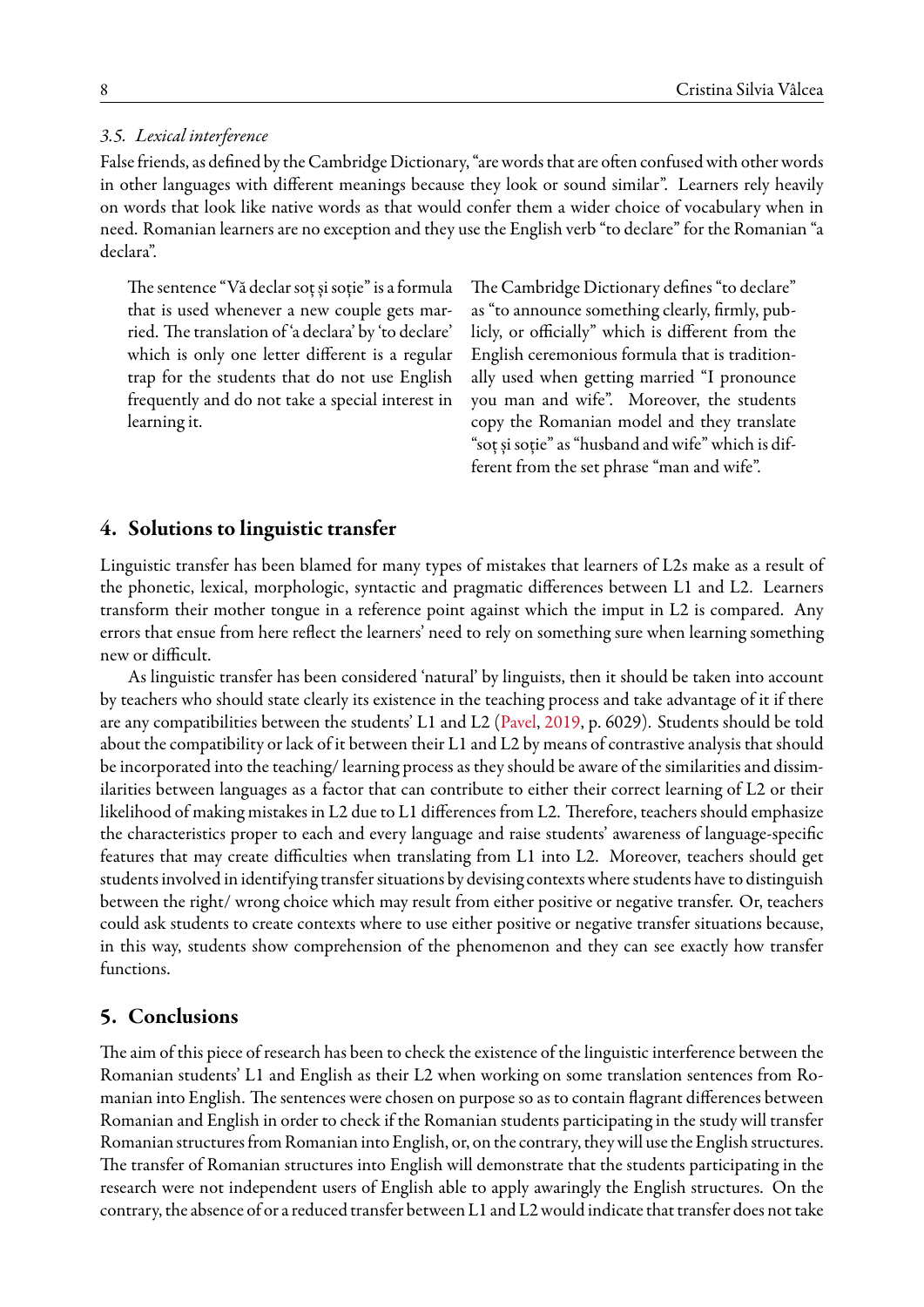## *3.5. Lexical interference*

False friends, as defined by the Cambridge Dictionary, "are words that are often confused with other words in other languages with different meanings because they look or sound similar". Learners rely heavily on words that look like native words as that would confer them a wider choice of vocabulary when in need. Romanian learners are no exception and they use the English verb "to declare" for the Romanian "a declara".

The sentence "Vă declar soț și soție" is a formula that is used whenever a new couple gets married. The translation of 'a declara' by 'to declare' which is only one letter different is a regular trap for the students that do not use English frequently and do not take a special interest in learning it.

The Cambridge Dictionary defines "to declare" as "to announce something clearly, firmly, publicly, or officially" which is different from the English ceremonious formula that is traditionally used when getting married "I pronounce you man and wife". Moreover, the students copy the Romanian model and they translate "soț și soție" as "husband and wife" which is different from the set phrase "man and wife".

## **4. Solutions to linguistic transfer**

Linguistic transfer has been blamed for many types of mistakes that learners of L2s make as a result of the phonetic, lexical, morphologic, syntactic and pragmatic differences between L1 and L2. Learners transform their mother tongue in a reference point against which the imput in L2 is compared. Any errors that ensue from here reflect the learners' need to rely on something sure when learning something new or difficult.

As linguistic transfer has been considered 'natural' by linguists, then it should be taken into account by teachers who should state clearly its existence in the teaching process and take advantage of it if there are any compatibilities between the students' L1 and L2([Pavel,](#page-8-17) [2019](#page-8-17), p. 6029). Students should be told about the compatibility or lack of it between their L1 and L2 by means of contrastive analysis that should be incorporated into the teaching/ learning process as they should be aware of the similarities and dissimilarities between languages as a factor that can contribute to either their correct learning of L2 or their likelihood of making mistakes in L2 due to L1 differences from L2. Therefore, teachers should emphasize the characteristics proper to each and every language and raise students' awareness of language-specific features that may create difficulties when translating from L1 into L2. Moreover, teachers should get students involved in identifying transfer situations by devising contexts where students have to distinguish between the right/ wrong choice which may result from either positive or negative transfer. Or, teachers could ask students to create contexts where to use either positive or negative transfer situations because, in this way, students show comprehension of the phenomenon and they can see exactly how transfer functions.

## **5. Conclusions**

The aim of this piece of research has been to check the existence of the linguistic interference between the Romanian students' L1 and English as their L2 when working on some translation sentences from Romanian into English. The sentences were chosen on purpose so as to contain flagrant differences between Romanian and English in order to check if the Romanian students participating in the study will transfer Romanian structures from Romanian into English, or, on the contrary, they will use the English structures. The transfer of Romanian structures into English will demonstrate that the students participating in the research were not independent users of English able to apply awaringly the English structures. On the contrary, the absence of or a reduced transfer between L1 and L2 would indicate that transfer does not take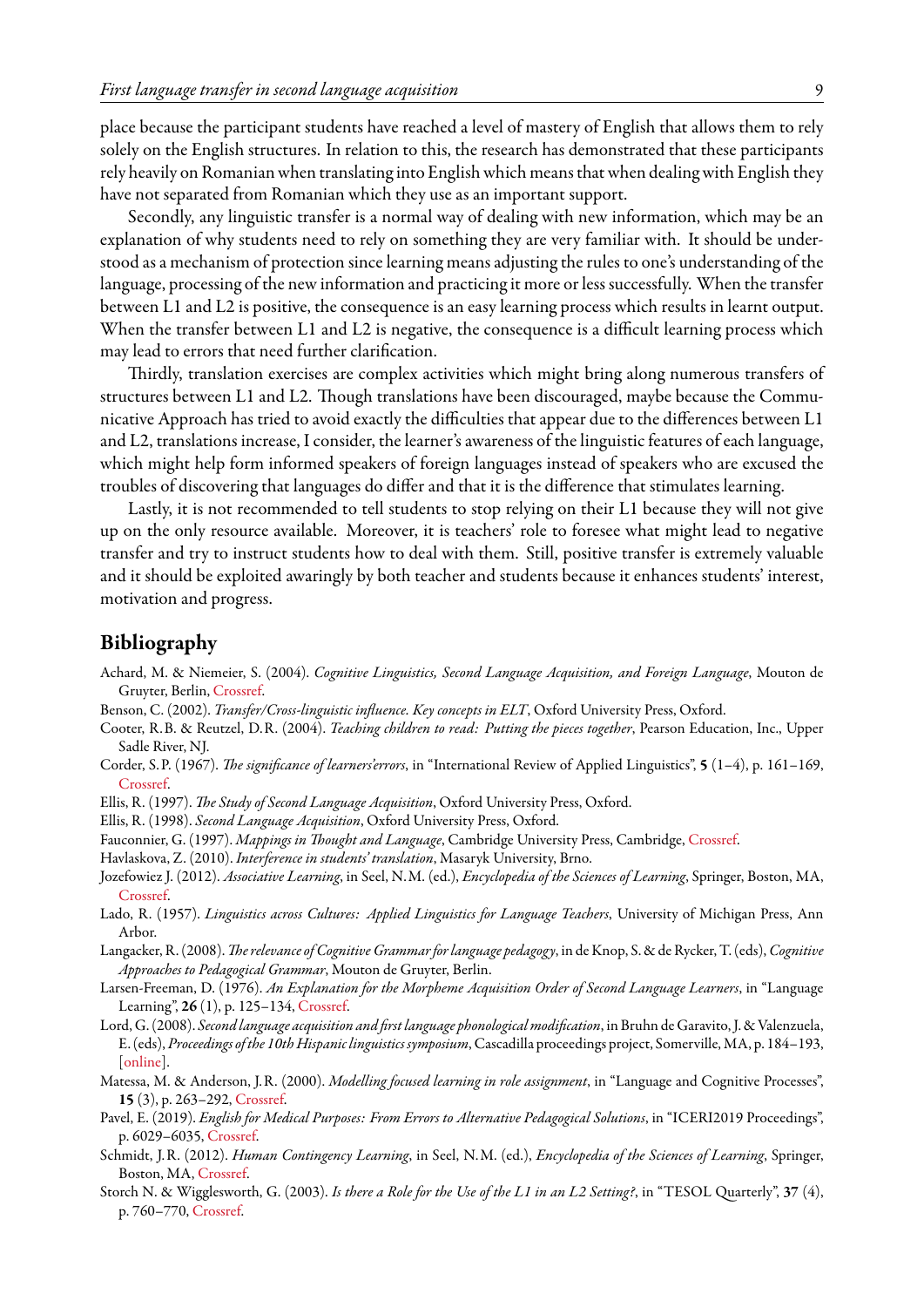place because the participant students have reached a level of mastery of English that allows them to rely solely on the English structures. In relation to this, the research has demonstrated that these participants rely heavily on Romanian when translating into English which means that when dealing with English they have not separated from Romanian which they use as an important support.

Secondly, any linguistic transfer is a normal way of dealing with new information, which may be an explanation of why students need to rely on something they are very familiar with. It should be understood as a mechanism of protection since learning means adjusting the rules to one's understanding of the language, processing of the new information and practicing it more or less successfully. When the transfer between L1 and L2 is positive, the consequence is an easy learning process which results in learnt output. When the transfer between L1 and L2 is negative, the consequence is a difficult learning process which may lead to errors that need further clarification.

Thirdly, translation exercises are complex activities which might bring along numerous transfers of structures between L1 and L2. Though translations have been discouraged, maybe because the Communicative Approach has tried to avoid exactly the difficulties that appear due to the differences between L1 and L2, translations increase, I consider, the learner's awareness of the linguistic features of each language, which might help form informed speakers of foreign languages instead of speakers who are excused the troubles of discovering that languages do differ and that it is the difference that stimulates learning.

Lastly, it is not recommended to tell students to stop relying on their L1 because they will not give up on the only resource available. Moreover, it is teachers' role to foresee what might lead to negative transfer and try to instruct students how to deal with them. Still, positive transfer is extremely valuable and it should be exploited awaringly by both teacher and students because it enhances students' interest, motivation and progress.

## <span id="page-8-0"></span>**Bibliography**

- <span id="page-8-10"></span>Achard, M. & Niemeier, S. (2004). *Cognitive Linguistics, Second Language Acquisition, and Foreign Language*, Mouton de Gruyter, Berlin, [Crossref.](http://dx.doi.org/10.1515/9783110199857)
- <span id="page-8-16"></span><span id="page-8-3"></span>Benson, C. (2002). *Transfer/Cross-linguistic influence. Key concepts in ELT*, Oxford University Press, Oxford.
- Cooter, R.B. & Reutzel, D.R. (2004). *Teaching children to read: Putting the pieces together*, Pearson Education, Inc., Upper Sadle River, NJ.
- <span id="page-8-6"></span>Corder, S.P. (1967). *The significance of learners'errors*, in "International Review of Applied Linguistics", **5** (1–4), p. 161–169, [Crossref.](http://dx.doi.org/10.1515/iral.1967.5.1-4.161)
- <span id="page-8-7"></span>Ellis, R. (1997). *The Study of Second Language Acquisition*, Oxford University Press, Oxford.
- <span id="page-8-8"></span>Ellis, R. (1998). *Second Language Acquisition*, Oxford University Press, Oxford.
- <span id="page-8-12"></span>Fauconnier, G. (1997). *Mappings in Thought and Language*, Cambridge University Press, Cambridge, [Crossref.](http://dx.doi.org/10.1017/CBO9781139174220)
- <span id="page-8-15"></span>Havlaskova, Z. (2010). *Interference in students' translation*, Masaryk University, Brno.
- <span id="page-8-4"></span>Jozefowiez J. (2012). *Associative Learning*, in Seel, N.M. (ed.), *Encyclopedia of the Sciences of Learning*, Springer, Boston, MA, [Crossref.](http://dx.doi.org/10.1007/978-1-4419-1428-6_703)
- <span id="page-8-2"></span>Lado, R. (1957). *Linguistics across Cultures: Applied Linguistics for Language Teachers*, University of Michigan Press, Ann Arbor.
- <span id="page-8-11"></span>Langacker, R. (2008).*The relevance of Cognitive Grammar for language pedagogy*, in de Knop, S. & de Rycker, T. (eds),*Cognitive Approaches to Pedagogical Grammar*, Mouton de Gruyter, Berlin.
- <span id="page-8-13"></span>Larsen-Freeman, D. (1976). *An Explanation for the Morpheme Acquisition Order of Second Language Learners*, in "Language Learning", **26** (1), p. 125–134, [Crossref](http://dx.doi.org/10.1111/j.1467-1770.1976.tb00264.x).
- <span id="page-8-1"></span>Lord, G. (2008). *Second language acquisition and first language phonological modification*, in Bruhn de Garavito, J. & Valenzuela, E. (eds), *Proceedings ofthe 10th Hispanic linguistics symposium*, Cascadilla proceedings project, Somerville, MA, p. 184–193, [[online\]](http://www.lingref.com/cpp/hls/10/paper1795.pdf).
- <span id="page-8-14"></span>Matessa, M. & Anderson, J.R. (2000). *Modelling focused learning in role assignment*, in "Language and Cognitive Processes", **15** (3), p. 263–292, [Crossref.](http://dx.doi.org/10.1080/016909600386057)
- <span id="page-8-17"></span>Pavel, E. (2019). *English for Medical Purposes: From Errors to Alternative Pedagogical Solutions*, in "ICERI2019 Proceedings", p. 6029–6035, [Crossref.](http://dx.doi.org/10.21125/iceri.2019.1462)
- <span id="page-8-5"></span>Schmidt, J.R. (2012). *Human Contingency Learning*, in Seel, N.M. (ed.), *Encyclopedia of the Sciences of Learning*, Springer, Boston, MA, [Crossref.](http://dx.doi.org/10.1007/978-1-4419-1428-6_646)
- <span id="page-8-9"></span>Storch N. & Wigglesworth, G. (2003). *Is there a Role for the Use of the L1 in an L2 Setting?*, in "TESOL Quarterly", **37** (4), p. 760–770, [Crossref](http://dx.doi.org/10.2307/3588224).